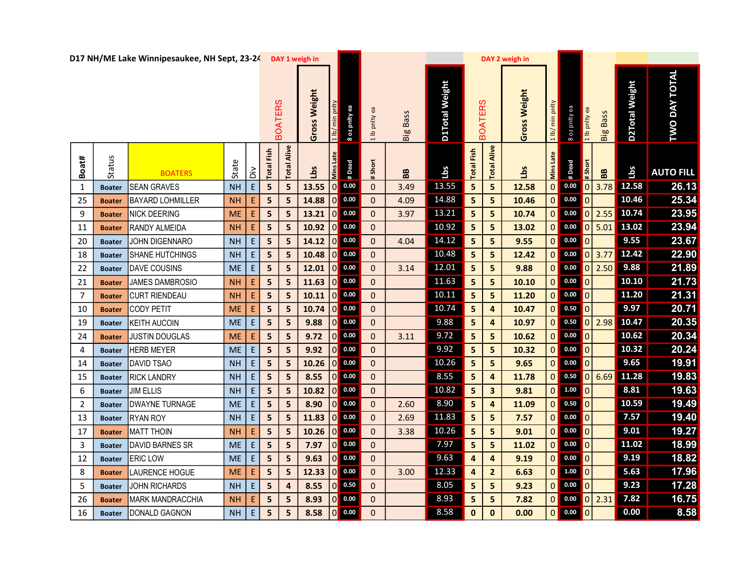|                |               | D17 NH/ME Lake Winnipesaukee, NH Sept, 23-24 |           |                                            |               |                         | DAY 1 weigh in  |                |                     |               |                 |                |                         |                         | DAY 2 weigh in |                    |                                                                       |               |                 |                |                      |  |
|----------------|---------------|----------------------------------------------|-----------|--------------------------------------------|---------------|-------------------------|-----------------|----------------|---------------------|---------------|-----------------|----------------|-------------------------|-------------------------|----------------|--------------------|-----------------------------------------------------------------------|---------------|-----------------|----------------|----------------------|--|
|                |               |                                              |           |                                            |               | <b>BOATERS</b>          | Weight<br>Gross |                | 8 oz pnity ea       | 1 lb pnlty ea | <b>Big Bass</b> | D1Total Weight |                         | <b>BOATERS</b>          | Gross Weight   | min pnlty<br>1 lb/ | ea A <sub>ll</sub> ud zo 8                                            | 1 lb pnlty ea | <b>Big Bass</b> | D2Total Weight | <b>TWO DAY TOTAL</b> |  |
| Boat#          | Status        | <b>BOATERS</b>                               | State     | š                                          | Fish<br>Total | Alive<br>Total          | <u>sq1</u>      | Mins Late      | # Dead              | # Short       | BB              | Lbs            | Fish<br>Total           | Alive<br>Total          | Lbs            | Mins Late          | # Dead                                                                | $#$ Short     | BB              | <u>ids</u>     | <b>AUTO FILL</b>     |  |
| $\mathbf{1}$   | <b>Boater</b> | <b>SEAN GRAVES</b>                           | <b>NH</b> | $\mathsf{E}% _{0}\left( \mathsf{E}\right)$ | 5             | $\overline{\mathbf{5}}$ | 13.55           | 0              | 0.00                | $\mathbf 0$   | 3.49            | 13.55          | 5                       | 5                       | 12.58          |                    | $0$ 0.00                                                              | $\vert$ 0     | 3.78            | 12.58          | 26.13                |  |
| 25             | <b>Boater</b> | <b>BAYARD LOHMILLER</b>                      | <b>NH</b> | Ε                                          | ${\sf 5}$     | $\overline{\mathbf{5}}$ | 14.88           | 0              | 0.00                | $\mathbf 0$   | 4.09            | 14.88          | $\overline{\mathbf{5}}$ | 5                       | 10.46          |                    | $\begin{array}{ c c c }\n\hline\n0 & 0.00\n\end{array}$               | $\mathbf 0$   |                 | 10.46          | 25.34                |  |
| 9              | <b>Boater</b> | <b>NICK DEERING</b>                          | <b>ME</b> | $\mathsf E$                                | 5             | 5                       | 13.21           |                | $\overline{0}$ 0.00 | $\mathbf 0$   | 3.97            | 13.21          | 5                       | 5                       | 10.74          |                    | $0$ 0.00 $0$                                                          |               | 2.55            | 10.74          | 23.95                |  |
| 11             | <b>Boater</b> | RANDY ALMEIDA                                | <b>NH</b> | E                                          | 5             | 5                       | 10.92           | 0              | 0.00                | $\pmb{0}$     |                 | 10.92          | $\overline{\mathbf{5}}$ | 5                       | 13.02          |                    | $0$ 0.00 0                                                            |               | 5.01            | 13.02          | 23.94                |  |
| 20             | <b>Boater</b> | JOHN DIGENNARO                               | <b>NH</b> | E                                          | 5             | 5                       | 14.12           | 0              | $0.00\,$            | $\mathbf{0}$  | 4.04            | 14.12          | $\overline{\mathbf{5}}$ | 5                       | 9.55           | $\overline{0}$     | $0.00$ 0                                                              |               |                 | 9.55           | 23.67                |  |
| 18             | <b>Boater</b> | SHANE HUTCHINGS                              | <b>NH</b> | $\mathsf E$                                | 5             | 5                       | 10.48           | $\overline{0}$ | 0.00                | $\mathbf 0$   |                 | 10.48          | 5                       | 5                       | 12.42          | 0                  | 0.00                                                                  | $\pmb{0}$     | 3.77            | 12.42          | 22.90                |  |
| 22             | <b>Boater</b> | DAVE COUSINS                                 | <b>ME</b> | $\mathsf{E}% _{0}\left( \mathsf{E}\right)$ | 5             | 5                       | 12.01           | 0              | 0.00                | $\pmb{0}$     | 3.14            | 12.01          | 5                       | 5                       | 9.88           |                    | $0$ 0.00 $0$                                                          |               | 2.50            | 9.88           | 21.89                |  |
| 21             | <b>Boater</b> | JAMES DAMBROSIO                              | <b>NH</b> | $\mathsf E$                                | 5             | 5                       | 11.63           | 0              | 0.00                | $\pmb{0}$     |                 | 11.63          | $5\phantom{.0}$         | 5                       | 10.10          |                    | $0$ 0.00 0                                                            |               |                 | 10.10          | 21.73                |  |
| 7              | <b>Boater</b> | <b>CURT RIENDEAU</b>                         | <b>NH</b> | $\mathsf E$                                | 5             | 5                       | $10.11$ 0 0.00  |                |                     | $\mathbf 0$   |                 | 10.11          | 5 <sup>1</sup>          | 5                       | 11.20          |                    | $0$ 0.00 $0$                                                          |               |                 | 11.20          | 21.31                |  |
| 10             | <b>Boater</b> | <b>CODY PETIT</b>                            | <b>ME</b> | Ε                                          | 5             | 5                       | 10.74           | $\overline{0}$ | 0.00                | $\mathbf 0$   |                 | 10.74          | $\overline{\mathbf{5}}$ | $\overline{\mathbf{4}}$ | 10.47          | 0                  | $\begin{array}{ c c c }\n\hline\n0.50 & 0\n\end{array}$               |               |                 | 9.97           | 20.71                |  |
| 19             | <b>Boater</b> | <b>KEITH AUCOIN</b>                          | <b>ME</b> | E                                          | 5             | 5                       | 9.88            | 0              | 0.00                | $\pmb{0}$     |                 | 9.88           | $\overline{\mathbf{5}}$ | 4                       | 10.97          |                    | $0$ 0.50 $0$                                                          |               | 2.98            | 10.47          | 20.35                |  |
| 24             | <b>Boater</b> | <b>JUSTIN DOUGLAS</b>                        | ME        | E                                          | 5             | 5                       | 9.72            | 0              | 0.00                | $\mathbf{0}$  | 3.11            | 9.72           | 5                       | 5                       | 10.62          |                    | $\begin{array}{ c c c }\n\hline\n0 & 0.00\n\end{array}$               | $\mathbf 0$   |                 | 10.62          | 20.34                |  |
| 4              | <b>Boater</b> | <b>HERB MEYER</b>                            | <b>ME</b> | $\mathsf E$                                | 5             | 5                       | 9.92            | 0              | 0.00                | $\mathbf 0$   |                 | 9.92           | 5 <sub>1</sub>          | $5\phantom{a}$          | 10.32          |                    | $0$ 0.00 $0$                                                          |               |                 | 10.32          | 20.24                |  |
| 14             | <b>Boater</b> | <b>DAVID TSAO</b>                            | <b>NH</b> | $\mathsf{E}% _{0}\left( \mathsf{E}\right)$ | 5             | 5                       | 10.26           |                | 0 0.00              | $\pmb{0}$     |                 | 10.26          | $\overline{\mathbf{5}}$ | $5\phantom{a}$          | 9.65           |                    | $0$ 0.00 $0$                                                          |               |                 | 9.65           | 19.91                |  |
| 15             | <b>Boater</b> | <b>RICK LANDRY</b>                           | <b>NH</b> | $\mathsf E$                                | 5             | 5                       | 8.55            | 10             | 0.00                | 0             |                 | 8.55           | $\overline{\mathbf{5}}$ | $\overline{\mathbf{4}}$ | 11.78          | 0                  | 0.50                                                                  | $\pmb{0}$     | 6.69            | 11.28          | 19.83                |  |
| 6              | <b>Boater</b> | <b>JIM ELLIS</b>                             | <b>NH</b> | E                                          | 5             | 5                       | 10.82           | 0              | 0.00                | $\mathbf{0}$  |                 | 10.82          | $\overline{\mathbf{5}}$ | $\mathbf{3}$            | 9.81           | 0                  | 1.00 0                                                                |               |                 | 8.81           | 19.63                |  |
| $\overline{2}$ | <b>Boater</b> | <b>DWAYNE TURNAGE</b>                        | ME        | $\mathsf E$                                | 5             | 5                       | 8.90            | $\overline{0}$ | 0.00                | $\mathbf 0$   | 2.60            | 8.90           | 5                       | $\overline{\mathbf{4}}$ | 11.09          | 0                  | $\begin{array}{ c c c c c }\n\hline\n0.50 & 0 \\ \hline\n\end{array}$ |               |                 | 10.59          | 19.49                |  |
| 13             | <b>Boater</b> | <b>RYAN ROY</b>                              | <b>NH</b> | $\mathsf{E}% _{0}\left( \mathsf{E}\right)$ | 5             | 5                       | 11.83           | 0              | $0.00\,$            | $\pmb{0}$     | 2.69            | 11.83          | 5                       | 5                       | 7.57           | 0                  | $\begin{array}{ c c c c c }\n\hline\n0.00 & 0 \\ \hline\n\end{array}$ |               |                 | 7.57           | 19.40                |  |
| 17             | <b>Boater</b> | <b>MATT THOIN</b>                            | <b>NH</b> | E                                          | 5             | 5                       | 10.26           | 0              | 0.00                | $\mathbf 0$   | 3.38            | 10.26          | 5                       | $5\phantom{a}$          | 9.01           |                    | $0$ 0.00 $0$                                                          |               |                 | 9.01           | 19.27                |  |
| 3              | <b>Boater</b> | DAVID BARNES SR                              | <b>ME</b> | $\mathsf{E}% _{0}\left( \mathsf{E}\right)$ | 5             | 5                       | 7.97            | 0              | 0.00                | $\mathbf 0$   |                 | 7.97           | 5                       | 5                       | 11.02          |                    | $0$ 0.00 $0$                                                          |               |                 | 11.02          | 18.99                |  |
| 12             | <b>Boater</b> | <b>ERIC LOW</b>                              | <b>ME</b> | $\mathsf E$                                | 5             | 5                       | 9.63            | $\overline{0}$ | 0.00                | $\mathbf 0$   |                 | 9.63           | 4                       | $\overline{\mathbf{4}}$ | 9.19           | 0                  | $\begin{array}{ c c c c c }\n\hline\n0.00 & 0 \\ \hline\n\end{array}$ |               |                 | 9.19           | 18.82                |  |
| 8              | <b>Boater</b> | LAURENCE HOGUE                               | <b>ME</b> | Ε                                          | 5             | 5                       | 12.33           | 0              | $0.00\,$            | $\mathbf 0$   | 3.00            | 12.33          | $\overline{\mathbf{4}}$ | $\overline{2}$          | 6.63           | 0                  | $1.00$ 0                                                              |               |                 | 5.63           | 17.96                |  |
| 5              | <b>Boater</b> | JOHN RICHARDS                                | <b>NH</b> | $\mathsf{E}% _{0}\left( \mathsf{E}\right)$ | 5             | $\overline{\mathbf{4}}$ | 8.55            | $\overline{0}$ | 0.50                | $\mathbf{0}$  |                 | 8.05           | 5                       | 5 <sub>1</sub>          | 9.23           |                    | $0$ 0.00 $0$                                                          |               |                 | 9.23           | 17.28                |  |
| 26             | <b>Boater</b> | <b>MARK MANDRACCHIA</b>                      | <b>NH</b> | E                                          | 5             | 5                       | 8.93            | 0              | 0.00                | $\mathbf 0$   |                 | 8.93           | 5                       | 5                       | 7.82           |                    | $0$ 0.00 $0$                                                          |               | 2.31            | 7.82           | 16.75                |  |
| 16             | <b>Boater</b> | DONALD GAGNON                                | <b>NH</b> | $\mathsf{E}% _{0}\left( \mathsf{E}\right)$ | 5             | 5                       | 8.58            | 0              | 0.00                | $\Omega$      |                 | 8.58           | $\mathbf{0}$            | $\mathbf{0}$            | 0.00           | 0                  | $\begin{array}{ c c c }\n\hline\n0.00 & 0\n\end{array}$               |               |                 | 0.00           | 8.58                 |  |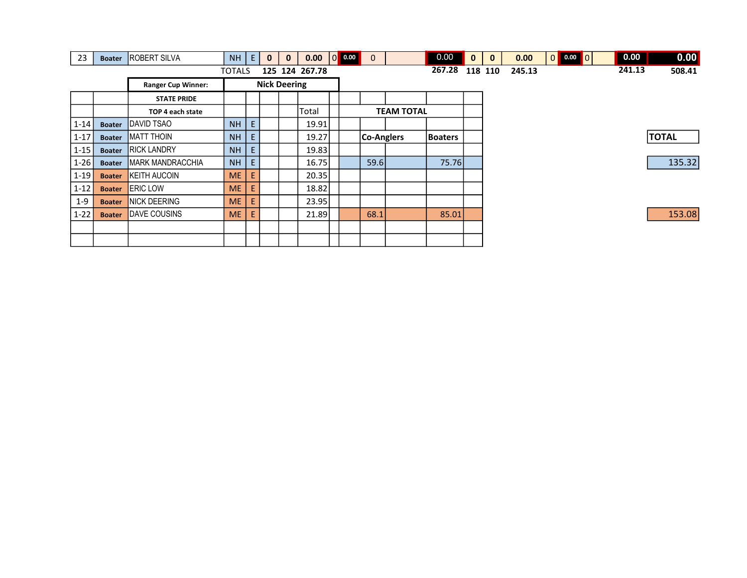| 23       | <b>Boater</b> | <b>ROBERT SILVA</b>       | <b>NH</b> | E | $\mathbf{0}$ | $\mathbf{0}$        | 0.00   | $\overline{\mathsf{I}}$ of | 0.00<br>$\mathbf{0}$ |        |                   | 0.00           | $\mathbf{0}$ | $\mathbf{0}$ | 0.00 | $\begin{array}{ c c c c c }\n\hline\n0.00 & 0 \\ \hline\n\end{array}$<br> 0 | 0.00 | 0.00         |
|----------|---------------|---------------------------|-----------|---|--------------|---------------------|--------|----------------------------|----------------------|--------|-------------------|----------------|--------------|--------------|------|-----------------------------------------------------------------------------|------|--------------|
|          |               | <b>TOTALS</b>             |           |   |              |                     | 267.28 |                            | 118 110              | 245.13 |                   | 241.13         | 508.41       |              |      |                                                                             |      |              |
|          |               | <b>Ranger Cup Winner:</b> |           |   |              | <b>Nick Deering</b> |        |                            |                      |        |                   |                |              |              |      |                                                                             |      |              |
|          |               | <b>STATE PRIDE</b>        |           |   |              |                     |        |                            |                      |        |                   |                |              |              |      |                                                                             |      |              |
|          |               | TOP 4 each state          |           |   |              |                     | Total  |                            |                      |        | <b>TEAM TOTAL</b> |                |              |              |      |                                                                             |      |              |
| $1 - 14$ | <b>Boater</b> | <b>IDAVID TSAO</b>        | <b>NH</b> | E |              |                     | 19.91  |                            |                      |        |                   |                |              |              |      |                                                                             |      |              |
| $1 - 17$ | <b>Boater</b> | <b>IMATT THOIN</b>        | <b>NH</b> |   |              |                     | 19.27  |                            | Co-Anglers           |        |                   | <b>Boaters</b> |              |              |      |                                                                             |      | <b>TOTAL</b> |
| $1 - 15$ | <b>Boater</b> | <b>RICK LANDRY</b>        | <b>NH</b> |   |              |                     | 19.83  |                            |                      |        |                   |                |              |              |      |                                                                             |      |              |
| $1 - 26$ | <b>Boater</b> | <b>IMARK MANDRACCHIA</b>  | <b>NH</b> |   |              |                     | 16.75  |                            |                      | 59.6   |                   | 75.76          |              |              |      |                                                                             |      | 135.32       |
| $1 - 19$ | <b>Boater</b> | <b>KEITH AUCOIN</b>       | <b>ME</b> |   |              |                     | 20.35  |                            |                      |        |                   |                |              |              |      |                                                                             |      |              |
| $1 - 12$ | <b>Boater</b> | <b>ERIC LOW</b>           | <b>ME</b> |   |              |                     | 18.82  |                            |                      |        |                   |                |              |              |      |                                                                             |      |              |
| $1 - 9$  | <b>Boater</b> | <b>NICK DEERING</b>       | <b>ME</b> | E |              |                     | 23.95  |                            |                      |        |                   |                |              |              |      |                                                                             |      |              |
| $1 - 22$ | <b>Boater</b> | <b>IDAVE COUSINS</b>      | <b>ME</b> |   |              |                     | 21.89  |                            | 68.1                 |        |                   | 85.01          |              |              |      |                                                                             |      | 153.08       |
|          |               |                           |           |   |              |                     |        |                            |                      |        |                   |                |              |              |      |                                                                             |      |              |
|          |               |                           |           |   |              |                     |        |                            |                      |        |                   |                |              |              |      |                                                                             |      |              |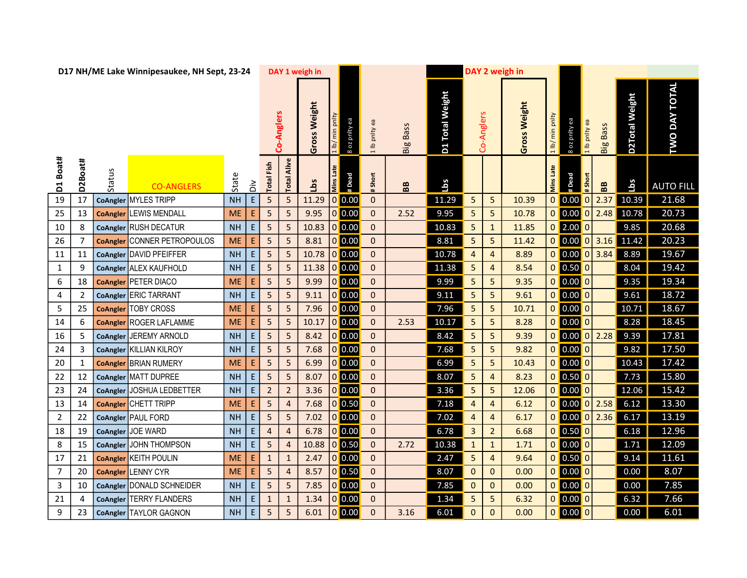| D17 NH/ME Lake Winnipesaukee, NH Sept, 23-24 |                |        |                                    |           | DAY 1 weigh in |                         |                |              |                  |               |                | DAY 2 weigh in  |                 |              |                |                 |                    |                                                                                                                                                  |                 |                                                                                                                                           |                      |  |
|----------------------------------------------|----------------|--------|------------------------------------|-----------|----------------|-------------------------|----------------|--------------|------------------|---------------|----------------|-----------------|-----------------|--------------|----------------|-----------------|--------------------|--------------------------------------------------------------------------------------------------------------------------------------------------|-----------------|-------------------------------------------------------------------------------------------------------------------------------------------|----------------------|--|
|                                              |                |        |                                    |           |                |                         | Co-Anglers     | Gross Weight | min<br>1 lb/     | 8 oz pnity ea | 1 lb pnlty ea  | <b>Big Bass</b> | D1 Total Weight |              | Co-Anglers     | Weight<br>Gross | min pnlty<br>1 lb/ | 8 oz pnity ea<br>1 lb pnlty ea                                                                                                                   | <b>Big Bass</b> | D2Total Weight                                                                                                                            | <b>TWO DAY TOTAL</b> |  |
| Boat#<br>$\overline{\mathsf{d}}$             | D2Boat#        | Status | <b>CO-ANGLERS</b>                  | State     | òίd            | <b>Total Fish</b>       | Alive<br>Total | <u>aqı</u>   | Mins Late        | #Dead         | # Short        | BB              | Lbs             |              |                |                 | <b>Mins Late</b>   | # Short<br>#Dead                                                                                                                                 | BB              | Lbs                                                                                                                                       | <b>AUTO FILL</b>     |  |
| 19                                           | 17             |        | CoAngler MYLES TRIPP               | <b>NH</b> | $\mathsf{E}$   | 5                       | 5              | 11.29        | $0$ 0.00         |               | $\mathbf{0}$   |                 | 11.29           | 5            | 5              | 10.39           | $\pmb{0}$          | 0.00<br> 0                                                                                                                                       | 2.37            | 10.39                                                                                                                                     | 21.68                |  |
| 25                                           | 13             |        | <b>CoAngler</b> LEWIS MENDALL      | <b>ME</b> | E.             | $\overline{5}$          | 5              | 9.95         | $0$ 0.00         |               | $\mathbf{0}$   | 2.52            | 9.95            | 5            | 5              | 10.78           |                    | $0$ 0.00<br> 0                                                                                                                                   | 2.48            | 10.78                                                                                                                                     | 20.73                |  |
| 10                                           | 8              |        | CoAngler RUSH DECATUR              | <b>NH</b> | $\mathsf{E}$   | $\overline{\mathbf{5}}$ | 5              | 10.83        | 0 0.00           |               | $\mathbf{0}$   |                 | 10.83           | 5            | $\mathbf{1}$   | 11.85           |                    | $0$ 2.00<br>$\mathbf{0}$                                                                                                                         |                 | 9.85                                                                                                                                      | 20.68                |  |
| 26                                           | $\overline{7}$ |        | <b>CoAngler CONNER PETROPOULOS</b> | <b>ME</b> | $\mathsf{E}$   | 5                       | 5              | 8.81         | $\boxed{0}$ 0.00 |               | $\overline{0}$ |                 | 8.81            | 5            | 5              | 11.42           |                    |                                                                                                                                                  |                 | $\begin{array}{ c c c c c c c c c } \hline \textbf{0} & \textbf{0.00} & \textbf{0} & \textbf{3.16} & \textbf{11.42} \ \hline \end{array}$ | 20.23                |  |
| 11                                           | 11             |        | CoAngler DAVID PFEIFFER            | <b>NH</b> | E              | 5                       | 5              | 10.78        | $\boxed{0}$ 0.00 |               | $\mathbf{O}$   |                 | 10.78           | 4            | 4              | 8.89            |                    |                                                                                                                                                  | 3.84            | 8.89                                                                                                                                      | 19.67                |  |
| $\mathbf{1}$                                 | 9              |        | CoAngler ALEX KAUFHOLD             | <b>NH</b> | E              | 5                       | 5              | 11.38        | 0 0.00           |               | $\overline{0}$ |                 | 11.38           | 5            | $\overline{4}$ | 8.54            |                    | $0$ 0.50 $0$                                                                                                                                     |                 | 8.04                                                                                                                                      | 19.42                |  |
| 6                                            | 18             |        | <b>CoAngler PETER DIACO</b>        | <b>ME</b> | E              | $\overline{\mathbf{5}}$ | 5              | 9.99         | $0$ 0.00         |               | $\overline{0}$ |                 | 9.99            | 5            | 5              | 9.35            | $\mathbf 0$        | 0.00 0                                                                                                                                           |                 | 9.35                                                                                                                                      | 19.34                |  |
| 4                                            | $\overline{2}$ |        | CoAngler ERIC TARRANT              | <b>NH</b> | E              | 5                       | 5              | 9.11         | $\boxed{0}$ 0.00 |               | $\overline{0}$ |                 | 9.11            | 5            | 5              | 9.61            |                    | $0$ 0.00 0                                                                                                                                       |                 | 9.61                                                                                                                                      | 18.72                |  |
| 5                                            | 25             |        | CoAngler TOBY CROSS                | <b>ME</b> | E              | 5                       | 5              | 7.96         | $0$ 0.00         |               | $\overline{0}$ |                 | 7.96            | 5            | 5              | 10.71           |                    | $0$ 0.00 0                                                                                                                                       |                 | 10.71                                                                                                                                     | 18.67                |  |
| 14                                           | 6              |        | <b>CoAngler ROGER LAFLAMME</b>     | <b>ME</b> | E.             | 5                       | 5              | 10.17        | 0 0.00           |               | $\mathbf{0}$   | 2.53            | 10.17           | 5            | 5              | 8.28            |                    | $0$ 0.00 0                                                                                                                                       |                 | 8.28                                                                                                                                      | 18.45                |  |
| 16                                           | 5              |        | CoAngler JEREMY ARNOLD             | <b>NH</b> | $\mathsf{E}$   | $\overline{5}$          | 5              | 8.42         | $0$ 0.00         |               | $\overline{0}$ |                 | 8.42            | 5            | 5 <sub>5</sub> | 9.39            | $\mathbf 0$        | $\vert$ 0.00                                                                                                                                     | 0 2.28          | 9.39                                                                                                                                      | 17.81                |  |
| 24                                           | 3              |        | CoAngler KILLIAN KILROY            | <b>NH</b> | E              | $\overline{\mathbf{5}}$ | 5              | 7.68         | $\boxed{0}$ 0.00 |               | $\mathbf{O}$   |                 | 7.68            | 5            | 5              | 9.82            |                    | $0$ 0.00 0                                                                                                                                       |                 | 9.82                                                                                                                                      | 17.50                |  |
| 20                                           | $\mathbf{1}$   |        | <b>CoAngler BRIAN RUMERY</b>       | <b>ME</b> | E.             | 5                       | 5              | 6.99         | $0$ 0.00         |               | $\mathbf{0}$   |                 | 6.99            | 5            | 5              | 10.43           |                    | $0$ 0.00 0                                                                                                                                       |                 | 10.43                                                                                                                                     | 17.42                |  |
| 22                                           | 12             |        | CoAngler MATT DUPREE               | <b>NH</b> | E              | 5                       | 5              | 8.07         | $0$ 0.00         |               | $\pmb{0}$      |                 | 8.07            | 5            | $\overline{a}$ | 8.23            |                    | $0$ 0.50 0                                                                                                                                       |                 | 7.73                                                                                                                                      | 15.80                |  |
| 23                                           | 24             |        | CoAngler JOSHUA LEDBETTER          | <b>NH</b> | E              | $\overline{2}$          | $\overline{2}$ | 3.36         | $0$ 0.00         |               | $\overline{0}$ |                 | 3.36            | 5            | 5              | 12.06           |                    | $0$ 0.00 0                                                                                                                                       |                 | 12.06                                                                                                                                     | 15.42                |  |
| 13                                           | 14             |        | CoAngler CHETT TRIPP               | <b>ME</b> | E,             | $\overline{\mathbf{5}}$ | $\overline{4}$ | 7.68         | $0$ 0.50         |               | $\pmb{0}$      |                 | 7.18            | 4            | $\overline{a}$ | 6.12            |                    | $\begin{array}{ c c c c c c c c c } \hline \multicolumn{1}{ c }{0.00} & \multicolumn{1}{ c }{0} & \multicolumn{1}{ c }{2.58} \hline \end{array}$ |                 | 6.12                                                                                                                                      | 13.30                |  |
| $\overline{2}$                               | 22             |        | CoAngler PAUL FORD                 | <b>NH</b> | E              | 5                       | 5              | 7.02         | $0$ 0.00         |               | $\mathbf{O}$   |                 | 7.02            | 4            | 4              | 6.17            |                    |                                                                                                                                                  | 2.36            | 6.17                                                                                                                                      | 13.19                |  |
| 18                                           | 19             |        | CoAngler JOE WARD                  | <b>NH</b> | E              | $\overline{4}$          | $\overline{4}$ | 6.78         | $0$ 0.00         |               | $\mathbf{0}$   |                 | 6.78            | 3            | $\overline{2}$ | 6.68            |                    | $0$ 0.50 0                                                                                                                                       |                 | 6.18                                                                                                                                      | 12.96                |  |
| 8                                            | 15             |        | CoAngler JOHN THOMPSON             | <b>NH</b> | E              | $\overline{5}$          | $\overline{4}$ | 10.88        | $0$ 0.50         |               | $\mathbf{0}$   | 2.72            | 10.38           | $\mathbf{1}$ | $\mathbf{1}$   | 1.71            |                    | $0$ 0.00 0                                                                                                                                       |                 | 1.71                                                                                                                                      | 12.09                |  |
| 17                                           | 21             |        | <b>CoAngler KEITH POULIN</b>       | <b>ME</b> | E.             | $\mathbf 1$             | $\mathbf{1}$   | 2.47         | $\boxed{0}$ 0.00 |               | $\mathbf{0}$   |                 | 2.47            | 5            | $\overline{4}$ | 9.64            |                    | $0$ 0.50 0                                                                                                                                       |                 | 9.14                                                                                                                                      | 11.61                |  |
| $7\overline{ }$                              | 20             |        | CoAngler LENNY CYR                 | <b>ME</b> | E              | $\overline{\mathbf{5}}$ | 4              | 8.57         | $0$ 0.50         |               | $\mathbf{O}$   |                 | 8.07            | $\pmb{0}$    | $\mathbf{0}$   | 0.00            |                    | $0$ 0.00 0                                                                                                                                       |                 | 0.00                                                                                                                                      | 8.07                 |  |
| $\mathbf{3}$                                 | 10             |        | CoAngler DONALD SCHNEIDER          | <b>NH</b> | E              | 5                       | 5              | 7.85         | $\mathbf 0$      | 0.00          | $\mathbf{0}$   |                 | 7.85            | $\mathbf 0$  | $\mathbf{0}$   | 0.00            |                    | $0$ 0.00 0                                                                                                                                       |                 | 0.00                                                                                                                                      | 7.85                 |  |
| $21\,$                                       | 4              |        | CoAngler TERRY FLANDERS            | <b>NH</b> | E.             | $\mathbf{1}$            | $\mathbf{1}$   | 1.34         | $0$ 0.00         |               | $\overline{0}$ |                 | 1.34            | 5            | 5              | 6.32            | $\mathbf 0$        | $\begin{array}{ c c } \hline 0.00 & 0 \ \hline \end{array}$                                                                                      |                 | 6.32                                                                                                                                      | 7.66                 |  |
| 9                                            | 23             |        | CoAngler TAYLOR GAGNON             | <b>NH</b> | E              | 5                       | 5              | 6.01         | $\boxed{0}$ 0.00 |               | $\mathbf{0}$   | 3.16            | 6.01            | $\mathbf{0}$ | $\mathbf{0}$   | 0.00            |                    | $0$ 0.00 0                                                                                                                                       |                 | 0.00                                                                                                                                      | 6.01                 |  |